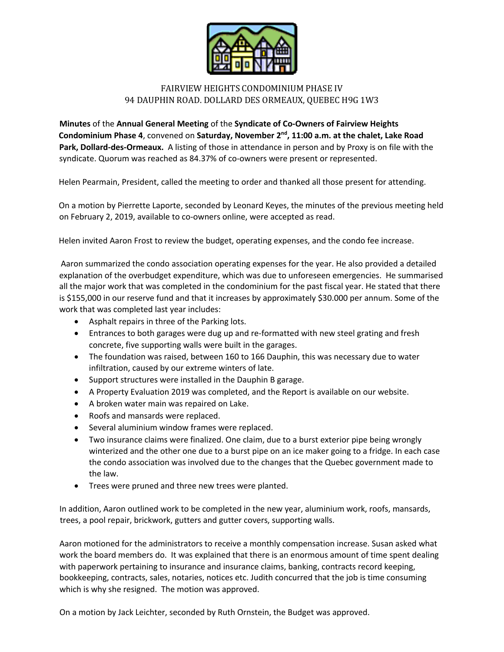

## FAIRVIEW HEIGHTS CONDOMINIUM PHASE IV 94 DAUPHIN ROAD. DOLLARD DES ORMEAUX, QUEBEC H9G 1W3

**Minutes** of the **Annual General Meeting** of the **Syndicate of Co-Owners of Fairview Heights Condominium Phase 4**, convened on **Saturday, November 2nd, 11:00 a.m. at the chalet, Lake Road Park, Dollard-des-Ormeaux.** A listing of those in attendance in person and by Proxy is on file with the syndicate. Quorum was reached as 84.37% of co-owners were present or represented.

Helen Pearmain, President, called the meeting to order and thanked all those present for attending.

On a motion by Pierrette Laporte, seconded by Leonard Keyes, the minutes of the previous meeting held on February 2, 2019, available to co-owners online, were accepted as read.

Helen invited Aaron Frost to review the budget, operating expenses, and the condo fee increase.

Aaron summarized the condo association operating expenses for the year. He also provided a detailed explanation of the overbudget expenditure, which was due to unforeseen emergencies. He summarised all the major work that was completed in the condominium for the past fiscal year. He stated that there is \$155,000 in our reserve fund and that it increases by approximately \$30.000 per annum. Some of the work that was completed last year includes:

- Asphalt repairs in three of the Parking lots.
- Entrances to both garages were dug up and re-formatted with new steel grating and fresh concrete, five supporting walls were built in the garages.
- The foundation was raised, between 160 to 166 Dauphin, this was necessary due to water infiltration, caused by our extreme winters of late.
- Support structures were installed in the Dauphin B garage.
- A Property Evaluation 2019 was completed, and the Report is available on our website.
- A broken water main was repaired on Lake.
- Roofs and mansards were replaced.
- Several aluminium window frames were replaced.
- Two insurance claims were finalized. One claim, due to a burst exterior pipe being wrongly winterized and the other one due to a burst pipe on an ice maker going to a fridge. In each case the condo association was involved due to the changes that the Quebec government made to the law.
- Trees were pruned and three new trees were planted.

In addition, Aaron outlined work to be completed in the new year, aluminium work, roofs, mansards, trees, a pool repair, brickwork, gutters and gutter covers, supporting walls.

Aaron motioned for the administrators to receive a monthly compensation increase. Susan asked what work the board members do. It was explained that there is an enormous amount of time spent dealing with paperwork pertaining to insurance and insurance claims, banking, contracts record keeping, bookkeeping, contracts, sales, notaries, notices etc. Judith concurred that the job is time consuming which is why she resigned. The motion was approved.

On a motion by Jack Leichter, seconded by Ruth Ornstein, the Budget was approved.